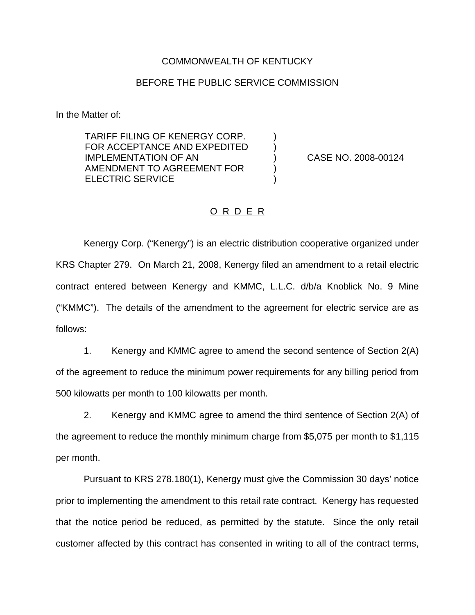## COMMONWEALTH OF KENTUCKY

## BEFORE THE PUBLIC SERVICE COMMISSION

In the Matter of:

TARIFF FILING OF KENERGY CORP. FOR ACCEPTANCE AND EXPEDITED IMPLEMENTATION OF AN ) CASE NO. 2008-00124 AMENDMENT TO AGREEMENT FOR ) ELECTRIC SERVICE

## O R D E R

Kenergy Corp. ("Kenergy") is an electric distribution cooperative organized under KRS Chapter 279. On March 21, 2008, Kenergy filed an amendment to a retail electric contract entered between Kenergy and KMMC, L.L.C. d/b/a Knoblick No. 9 Mine ("KMMC"). The details of the amendment to the agreement for electric service are as follows:

1. Kenergy and KMMC agree to amend the second sentence of Section 2(A) of the agreement to reduce the minimum power requirements for any billing period from 500 kilowatts per month to 100 kilowatts per month.

2. Kenergy and KMMC agree to amend the third sentence of Section 2(A) of the agreement to reduce the monthly minimum charge from \$5,075 per month to \$1,115 per month.

Pursuant to KRS 278.180(1), Kenergy must give the Commission 30 days' notice prior to implementing the amendment to this retail rate contract. Kenergy has requested that the notice period be reduced, as permitted by the statute. Since the only retail customer affected by this contract has consented in writing to all of the contract terms,